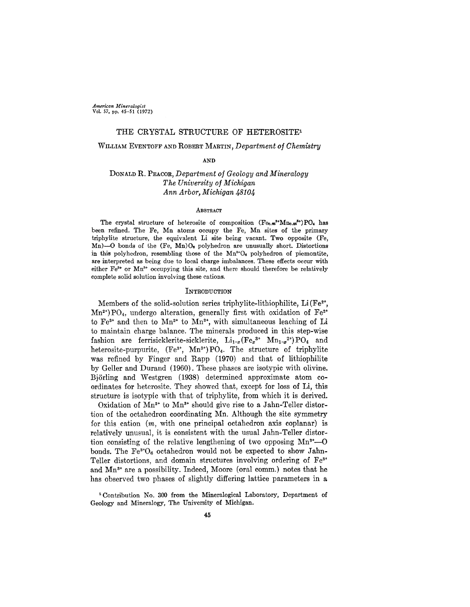*American Mineralogist* Vol. 57, pp. 45-51 (1972)

## THE CRYSTAL STRUCTURE OF HETEROSITE<sup>1</sup>

## WILLIAM EVENTOFF AND ROBERT MARTIN, *Department* of *Chemistry*

AND

# DONALDR. PEACOR,*Department of Geology and Mineralogy The University of Michigan Ann Arbor, Michigan 48104*

### **ABSTRACT**

The crystal structure of heterosite of composition  $(F_{\Theta, \Theta}^{\bullet} \cdot M_{\Theta, \Theta}^{\bullet})P O_{\bullet}$  has been refined. The Fe, Mn atoms occupy the Fe, Mn sites of the primary triphylite structure, the equivalent Li site being vacant. Two opposite (Fe, Mn)-O bonds of the  $(Fe, Mn)O<sub>e</sub>$  polyhedron are unusually short. Distortions in this polyhedron, resembling those of the  $Mn^{3+}O_6$  polyhedron of piemontite, are interpreted as being due to local charge imbalances. These effects occur with either Fe<sup>3+</sup> or Mn<sup>3+</sup> occupying this site, and there should therefore be relatively complete solid solution involving these cations.

#### INTRODUCTION

Members of the solid-solution series triphylite-lithiophilite,  $Li(Fe^{2t},$  $Mn^{2*}$ ) PO<sub>4</sub>, undergo alteration, generally first with oxidation of Fe<sup>2+</sup> to  $Fe^{3+}$  and then to  $Mn^{2+}$  to  $Mn^{3+}$ , with simultaneous leaching of Li to maintain charge balance. The minerals produced in this step-wise fashion are ferrisicklerite-sicklerite,  $Li_{1-x}$  (Fe<sub>x</sub><sup>3+</sup> Mn<sub>1-x</sub><sup>2+</sup>) PO<sub>4</sub> and heterosite-purpurite,  $(Fe^{3+}, Mn^{3+})PO_4$ . The structure of triphylite was refined by Finger and Rapp (1970) and that of lithiophilite by Geller and Durand (1960). These phases are isotypic with olivine. Bj6rling and Westgren (1938) determined approximate atom coordinates for heterosite. They showed that, except for loss of Li, this structure is isotypic with that of triphylite, from which it is derived.

Oxidation of  $Mn^{2+}$  to  $Mn^{3+}$  should give rise to a Jahn-Teller distortion of the octahedron coordinating Mn. Although the site symmetry for this cation *(m,* with one principal octahedron axis coplanar) is relatively unusual, it is consistent with the usual Jahn-Teller distortion consisting of the relative lengthening of two opposing  $Mn^{3*}$ —O bonds. The  $Fe^{3+}O_6$  octahedron would not be expected to show Jahn-Teller distortions, and domain structures involving ordering of Fe<sup>3+</sup> and  $Mn^{3+}$  are a possibility. Indeed, Moore (oral comm.) notes that he has observed two phases of slightly differing lattice parameters in a

<sup>1</sup> Contribution No. 300 from the Mineralogical Laboratory, Department of Geology and Mineralogy, The University of Michigan.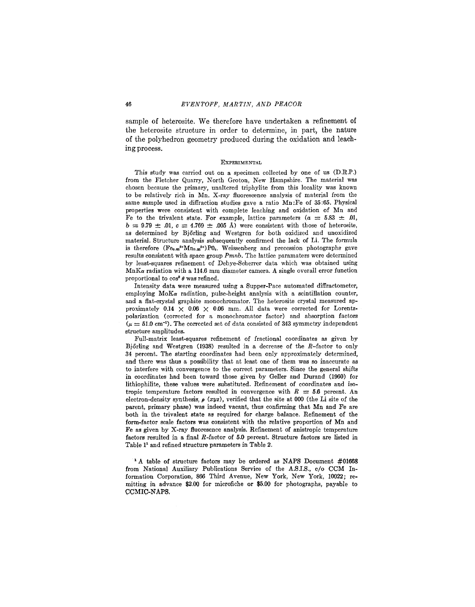sample of heterosite. We therefore have undertaken a refinement of the heterosite structure in order to determine, in part, the nature of the polyhedron geometry produced during the oxidation and leachmg process.

### **EXPERIMENTAL**

This study was carried out on a specimen collected by one of us (D.R.P.) from the Fletcher Quarry, North Groton, New Hampshire. The material was chosen because the primary, unaltered triphylite from this locality was known to be relatively rich in Mn. X-ray fluorescence analysis of material from the same sample used in diffraction studies gave a ratio Mn :Fe of 35 :65. Physical properties were consistent with complete leaching and oxidation of Mn and Fe to the trivalent state. For example, lattice parameters  $(a = 5.83 \pm .01, ...)$  $b = 9.79 \pm .01, c = 4.769 \pm .005$  Å) were consistent with those of heterosite,  $\alpha = 3.73 \pm .03$ ,  $\beta = 4.703 \pm .000$  A) were consistent with those of helicitosite<br>as determined by Björling and Westgren for both oxidized and unoxidize material. Structure analysis subsequently confirmed the lack of Li. The formula is therefore  $(Fe<sub>0.66</sub><sup>3+</sup>Mn<sub>0.86</sub><sup>3+</sup>)P0<sub>4</sub>$ . Weissenberg and precession photographs gave results consistent with space group *Pmnb.* The lattice paramaters were determined by least-squares refinement of Debye-Scherrer data which *was* obtained using  $MnK_{\alpha}$  radiation with a 114.6 mm diameter camera. A single overall error function proportional to  $\cos^2 \theta$  was refined.

Intensity data were measured using a Supper-Pace automated diffractometer, employing MoKa radiation, pulse-height analysis with a scintillation counter, and a flat-crystal graphite monochromator. The heterosite crystal measured approximately 0.14  $\times$  0.06  $\times$  0.06 mm. All data were corrected for Lorentzpolarization (corrected for a monochromator factor) and absorption factors  $(\mu = 51.0 \text{ cm}^{-1})$ . The corrected set of data consisted of 343 symmetry independent structure amplitudes.

Full-matrix least-squares refinement of fractional coordinates as given by Björling and Westgren (1938) resulted in a decrease of the  $R$ -factor to only 34 percent. The starting coordinates had been only approximately determined, and there was thus a possibility that at least one of them was so inaccurate as to interfere with convergence to the correct parameters. Since the general shifts in coordinates had been toward those given by Geller and Durand (1960) for Iithiophilite, these values were substituted. Refinement of coordinates and isotropic temperature factors resulted in convergence with  $R = 5.6$  percent. An electron-density synthesis, *p (xyz),* verified that the site at 000 (the Li site of the parent, primary phase) was indeed vacant, thus confirming that Mn and Fe are both in the trivalent state as required for charge balance. Refinement of the form-factor scale factors was consistent with the relative proportion of Mn and Fe as given by X-ray fluoresence analysis. Refinement of anistropic temperature factors resulted in a final R-factor of 5.0 percent. Structure factors are listed in Table 1<sup>1</sup> and refined structure parameters in Table 2.

<sup>1</sup> A table of structure factors may be ordered as NAPS Document #01668 from National Auxiliary Publications Service of the *A.Sl.8.,* c/o CCM Information Corporation, 866 Third Avenue, New York, New York, 10022; remitting in advance \$2.00 for microfiche or \$5.00 for photographs, payable to CCMIC-NAPS.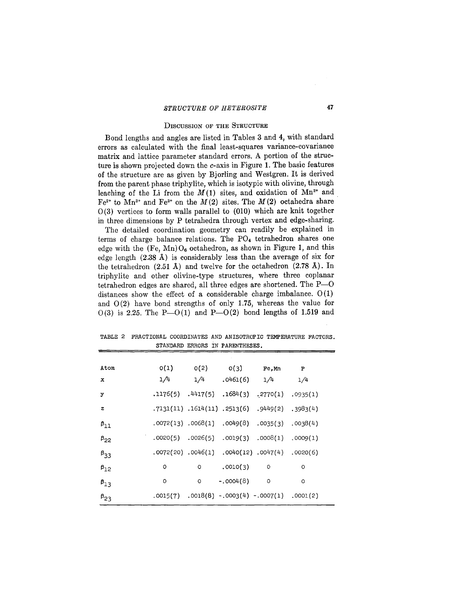# STRUCTURE OF HETEROSITE 47

### DISCUSSION OF THE STRUCTURE

Bond lengths and angles are listed in Tables 3 and 4, with standard errors as calculated with the final least-squares variance-covariance matrix and lattice parameter standard errors. A portion of the structure is shown projected down the c-axis in Figure 1. The basic features of the structure are as given by Bjorling and Westgren. It is derived from the parent phase triphylite, which is isotypic with olivine, through leaching of the Li from the  $M(1)$  sites, and oxidation of  $Mn^{2+}$  and. Fe<sup>2+</sup> to Mn<sup>3+</sup> and Fe<sup>3+</sup> on the  $M(2)$  sites. The  $M(2)$  octahedra share  $0(3)$  vertices to form walls parallel to  $(010)$  which are knit together in three dimensions by P tetrahedra through vertex and edge-sharing.

The detailed coordination geometry can readily be explained in terms of charge balance relations. The P04 tetrahedron shares one edge with the  $(F_e, Mn)O_6$  octahedron, as shown in Figure 1, and this edge length (2.38 A) is considerably less than the average of six for the tetrahedron  $(2.51 \text{ Å})$  and twelve for the octahedron  $(2.78 \text{ Å})$ . In triphylite and other olivine-type structures, where three coplanar tetrahedron edges are shared, all three edges are shortened. The P-O distances show the effect of a considerable charge imbalance. 0(1) and  $O(2)$  have bond strengths of only 1.75, whereas the value for  $0(3)$  is 2.25. The P- $0(1)$  and P- $0(2)$  bond lengths of 1.519 and

Atom 0(1) 0(2) 0(3) Fe,Mn P x  $1/4$   $1/4$   $1/4$   $1/4$   $1/4$   $1/4$   $1/4$ y .1176(5) .4417(5) .1684(3)  $2770(1)$  .0935( z .7131(11) .1614(11) .2513(6) .9449(2) .3983(4)  $\beta_{11}$  .0072(13) .0068(1) .0049(8) .0035(3) .0038(4) .0009(1) .0020(5) .0026(5) .0019(3) .0008(1) .0020  $\beta_{33}$  .0072(20) .0046(1) .0040(12) .0047(4) .0020(6)  $P_{12}$  0 0 .0010(3) 0 0  $\beta_{13}$  0 0 -.0004(8) 0 0  $\beta_{23}$  .0015(7) .0018(8) -.0003(4) -.0007(1) .0001(2)

TABLE 2 FRACTIONAL COORDINATES AND ANISOTROPIC TEMPERATURE FACTORS. STANDARD ERRORS IN PARENTHESES.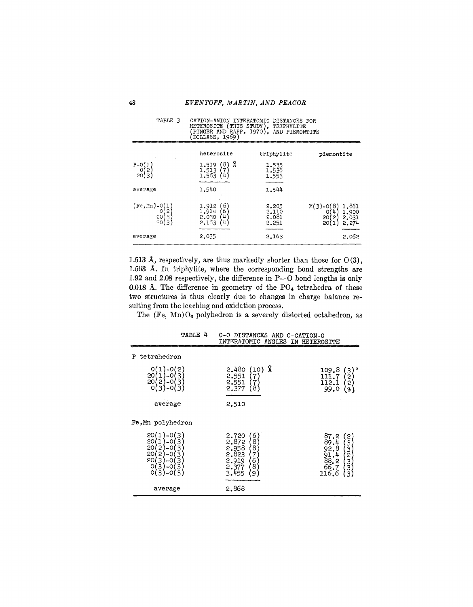| DOLLASE, 1969)                              |                                                                                       |                                  |                                                                        |
|---------------------------------------------|---------------------------------------------------------------------------------------|----------------------------------|------------------------------------------------------------------------|
|                                             | heterosite                                                                            | triphylite                       | piemontite                                                             |
| $P = 0(1$<br>0(2)<br>20(3)                  | ጸ<br>'8)<br>1.519<br>1.513<br>1.563<br>(7<br>(4)                                      | 1.535<br>1,536<br>1,553          |                                                                        |
| average                                     | 1.540                                                                                 | 1.544                            |                                                                        |
| $(Fe, Mn) - 0(1)$<br>0(2)<br>20(3)<br>20(3) | $\frac{6}{6}$<br>1.912<br>1.914<br>$^{\prime}$ 4 $^{\prime}$<br>2.030<br>2.163<br>(4) | 2.205<br>2.110<br>2.081<br>2.251 | 1,861<br>$M(3)-O(8)$<br>1,900<br>0<br>20<br>2.031<br>2)<br>20<br>2.274 |
| average                                     | 2.035                                                                                 | 2.163                            | 2.062                                                                  |

TABLE 3 CATION-ANION INTERATOMIC DISTANCES FOR<br>HETEROSITE (THIS STUDY), TRIPHYLITE<br>(FINGER AND RAPP, 1970), AND PIEMONTITE<br>(DOLLASE, 1969)

1.513 Å, respectively, are thus markedly shorter than those for  $O(3)$ , 1.563 A. In triphylite, where the corresponding bond strengths are 1.92 and 2.08 respectively, the difference in P-O bond lengths is only 0.018 Å. The difference in geometry of the  $PO<sub>4</sub>$  tetrahedra of these two structures is thus clearly due to changes in charge balance resulting from the leaching and oxidation process.

The  $(Fe, Mn)O<sub>6</sub>$  polyhedron is a severely distorted octahedron, as

|                                                                                                                                 | INTERATOMIC ANGLES IN HETEROSITE                                                                            |                                                                             |
|---------------------------------------------------------------------------------------------------------------------------------|-------------------------------------------------------------------------------------------------------------|-----------------------------------------------------------------------------|
| tetrahedron<br>P<br>2<br>Ω<br>20<br>3<br>$\overline{20}$<br>3<br>$^{\circ}$ 2 $^{\circ}$<br>-0<br>$\cdot$ 3<br>o<br>0-(3        | 2.480<br>(10) X<br>2,551<br>7)<br>2,551<br>{7<br>{8<br>2.377                                                | ۰<br>109.8<br>$\frac{3}{2}$<br>111.7<br>112.1<br>2<br>99.0<br>$\mathbf{3},$ |
| average                                                                                                                         | 2,510                                                                                                       |                                                                             |
| Fe, Mn polyhedron                                                                                                               |                                                                                                             |                                                                             |
| 20<br>3<br>20<br>3<br>20<br>2<br>3<br>3<br>-0<br>20<br>2<br>-0<br>20<br>3<br>3<br>3<br>-0<br>3<br>0<br>-0<br>0<br>3)<br>3<br>-0 | 6<br>2,720<br>2.872<br>8<br>8<br>2.958<br>2.823<br>$\overline{7}$<br>6<br>8<br>2.919<br>2.377<br>3.455<br>9 | 87.2<br>2<br>89.4<br>ՠՠՠՠՠ<br>92.8<br>$91.4$<br>$88.2$<br>$66.7$<br>116.6   |
| average                                                                                                                         | 2.868                                                                                                       |                                                                             |

TABLE 4 0-0 DISTANCES AND O-CATION-O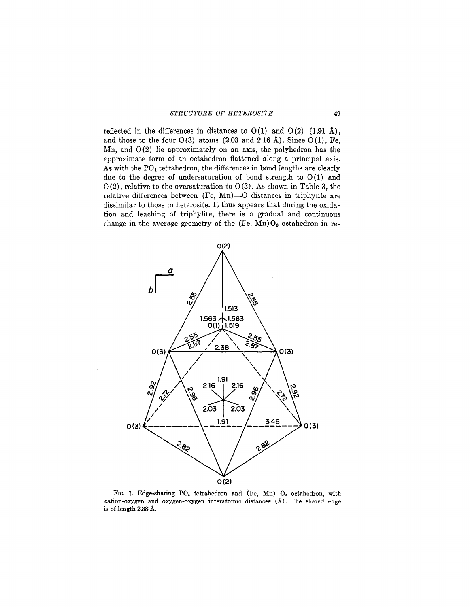reflected in the differences in distances to  $O(1)$  and  $O(2)$   $(1.91 \text{ Å})$ , and those to the four  $O(3)$  atoms  $(2.03 \text{ and } 2.16 \text{ Å})$ . Since  $O(1)$ , Fe, Mn, and  $O(2)$  lie approximately on an axis, the polyhedron has the approximate form of an octahedron flattened along a principal axis. As with the P04 tetrahedron, the differences in bond lengths are clearly due to the degree of undersaturation of bond strength to  $O(1)$  and  $O(2)$ , relative to the oversaturation to  $O(3)$ . As shown in Table 3, the relative differences between (Fe, Mn)-O distances in triphylite are dissimilar to those in heterosite. It thus appears that during the oxidation and leaching of triphylite, there is a gradual and continuous change in the average geometry of the (Fe, Mn)  $O_6$  octahedron in re-



FIG. 1. Edge-sharing PO<sub>4</sub> tetrahedron and (Fe, Mn) O<sub>6</sub> octahedron, with cation-oxygen and oxygen-oxygen interatomic distances (A). The shared edge is of length 2.38A.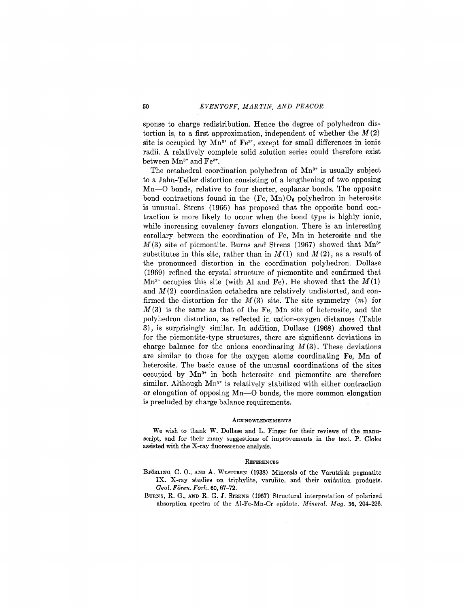sponse to charge redistribution. Hence the degree of polyhedron distortion is, to a first approximation, independent of whether the  $M(2)$ site is occupied by  $Mn^{3+}$  of Fe<sup>3+</sup>, except for small differences in ionic radii. A relatively complete solid solution series could therefore exist between Mn<sup>3+</sup> and Fe<sup>3+</sup>.

The octahedral coordination polyhedron of  $Mn^{3+}$  is usually subject to a Jahn-Teller distortion consisting of a lengthening of two opposing Mn-O bonds, relative to four shorter, coplanar bonds. The opposite bond contractions found in the  $(F_{e}, Mn)O_{6}$  polyhedron in heterosite is unusual. Strens (1966) has proposed that the opposite bond contraction is more likely to occur when the bond type is highly ionic, while increasing covalency favors elongation. There is an interesting corollary between the coordination of Fe, Mn in heterosite and the  $M(3)$  site of piemontite. Burns and Strens (1967) showed that  $Mn^{3+}$ substitutes in this site, rather than in  $M(1)$  and  $M(2)$ , as a result of the pronounced distortion in the coordination polyhedron. Dollase (1969) refined the crystal structure of piemontite and confirmed that  $Mn^{3+}$  occupies this site (with Al and Fe). He showed that the  $M(1)$ and *M(2)* coordination octahedra are relatively undistorted, and confirmed the distortion for the *M(3)* site. The site symmetry *(m)* for *M* (3) is the same as that of the Fe, Mn site of heterosite, and the polyhedron distortion, as reflected in cation-oxygen distances (Table 3), is surprisingly similar. In addition, Dollase (1968) showed that for the piemontite-type structures, there are significant deviations in charge balance for the anions coordinating *M* (3). These deviations are similar to those for the oxygen atoms coordinating Fe, Mn of heterosite. The basic cause of the unusual coordinations of the sites occupied by Mn<sup>3+</sup> in both heterosite and piemontite are therefore similar. Although Mn<sup>3+</sup> is relatively stabilized with either contraction or elongation of opposing Mn-O bonds, the more common elongation is precluded by charge balance requirements.

#### **ACKNOWLEDGEMENTS**

We wish to thank W. Dollase and L. Finger for their reviews of the manuscript, and for their many suggestions of improvements in the text. P. Cloke assisted with the X-ray fluorescence analysis.

#### **REFERENCES**

- BJÖRLING, C. O., AND A. WESTGREN (1938) Minerals of the Varuträsk pegmatite IX. X-ray studies on triphylite, varulite, and their oxidation products. *Geol. Foren. Forh.* 60, 67-72.
- BURNS, R. G., AND R. G. J. STRENS (1967) Structural interpretation of polarized absorption spectra of the Al-Fe-Mn-Cr epidote. *Mineral. Mag.* 36, 204-226.